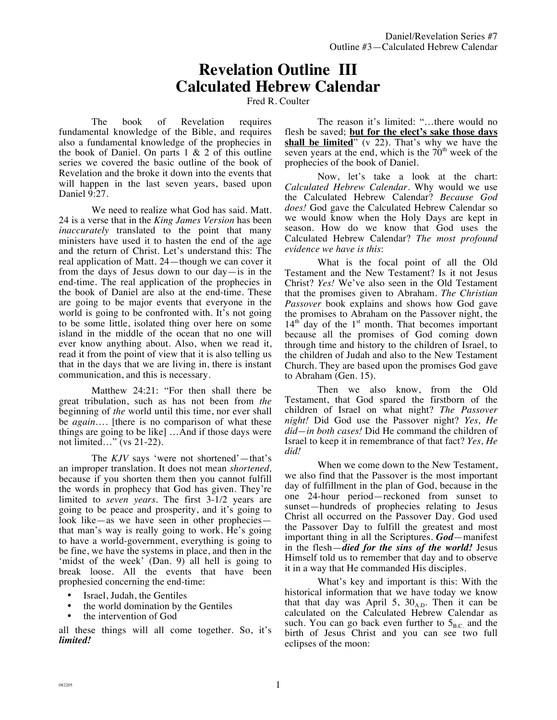## **Revelation Outline III Calculated Hebrew Calendar**

Fred R. Coulter

The book of Revelation requires fundamental knowledge of the Bible, and requires also a fundamental knowledge of the prophecies in the book of Daniel. On parts  $1 \& 2$  of this outline series we covered the basic outline of the book of Revelation and the broke it down into the events that will happen in the last seven years, based upon Daniel 9:27.

We need to realize what God has said. Matt. 24 is a verse that in the *King James Version* has been *inaccurately* translated to the point that many ministers have used it to hasten the end of the age and the return of Christ. Let's understand this: The real application of Matt. 24—though we can cover it from the days of Jesus down to our day—is in the end-time. The real application of the prophecies in the book of Daniel are also at the end-time. These are going to be major events that everyone in the world is going to be confronted with. It's not going to be some little, isolated thing over here on some island in the middle of the ocean that no one will ever know anything about. Also, when we read it, read it from the point of view that it is also telling us that in the days that we are living in, there is instant communication, and this is necessary.

Matthew 24:21: "For then shall there be great tribulation, such as has not been from *the* beginning of *the* world until this time, nor ever shall be *again*…. [there is no comparison of what these things are going to be like] …And if those days were not limited…" (vs 21-22).

The *KJV* says 'were not shortened'—that's an improper translation. It does not mean *shortened,* because if you shorten them then you cannot fulfill the words in prophecy that God has given. They're limited to *seven years.* The first 3-1/2 years are going to be peace and prosperity, and it's going to look like—as we have seen in other prophecies that man's way is really going to work. He's going to have a world-government, everything is going to be fine, we have the systems in place, and then in the 'midst of the week' (Dan. 9) all hell is going to break loose. All the events that have been prophesied concerning the end-time:

- Israel, Judah, the Gentiles
- the world domination by the Gentiles
- the intervention of God

all these things will all come together. So, it's *limited!*

The reason it's limited: "…there would no flesh be saved; **but for the elect's sake those days shall be limited**" (v 22). That's why we have the seven years at the end, which is the  $70<sup>th</sup>$  week of the prophecies of the book of Daniel.

Now, let's take a look at the chart: *Calculated Hebrew Calendar.* Why would we use the Calculated Hebrew Calendar? *Because God does!* God gave the Calculated Hebrew Calendar so we would know when the Holy Days are kept in season. How do we know that God uses the Calculated Hebrew Calendar? *The most profound evidence we have is this*:

What is the focal point of all the Old Testament and the New Testament? Is it not Jesus Christ? *Yes!* We've also seen in the Old Testament that the promises given to Abraham. *The Christian Passover* book explains and shows how God gave the promises to Abraham on the Passover night, the  $14<sup>th</sup>$  day of the  $1<sup>st</sup>$  month. That becomes important because all the promises of God coming down through time and history to the children of Israel, to the children of Judah and also to the New Testament Church. They are based upon the promises God gave to Abraham (Gen. 15).

Then we also know, from the Old Testament, that God spared the firstborn of the children of Israel on what night? *The Passover night!* Did God use the Passover night? *Yes, He did—in both cases!* Did He command the children of Israel to keep it in remembrance of that fact? *Yes, He did!*

When we come down to the New Testament, we also find that the Passover is the most important day of fulfillment in the plan of God, because in the one 24-hour period—reckoned from sunset to sunset—hundreds of prophecies relating to Jesus Christ all occurred on the Passover Day. God used the Passover Day to fulfill the greatest and most important thing in all the Scriptures. *God*—manifest in the flesh—*died for the sins of the world!* Jesus Himself told us to remember that day and to observe it in a way that He commanded His disciples.

What's key and important is this: With the historical information that we have today we know that that day was April 5,  $30_{AD}$ . Then it can be calculated on the Calculated Hebrew Calendar as such. You can go back even further to  $5_{BC}$  and the birth of Jesus Christ and you can see two full eclipses of the moon: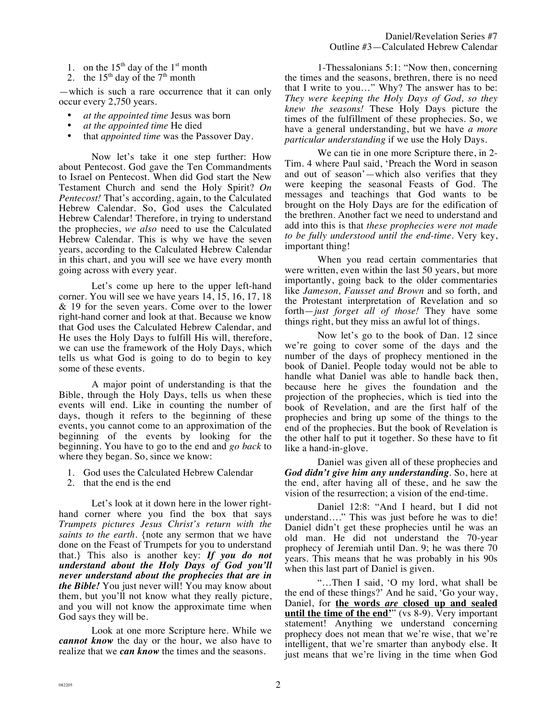- 1. on the  $15<sup>th</sup>$  day of the  $1<sup>st</sup>$  month
- 2. the  $15<sup>th</sup>$  day of the  $7<sup>th</sup>$  month

—which is such a rare occurrence that it can only occur every 2,750 years.

- *at the appointed time* Jesus was born
- *at the appointed time* He died
- that *appointed time* was the Passover Day.

Now let's take it one step further: How about Pentecost. God gave the Ten Commandments to Israel on Pentecost. When did God start the New Testament Church and send the Holy Spirit? *On Pentecost!* That's according, again, to the Calculated Hebrew Calendar. So, God uses the Calculated Hebrew Calendar! Therefore, in trying to understand the prophecies, *we also* need to use the Calculated Hebrew Calendar. This is why we have the seven years, according to the Calculated Hebrew Calendar in this chart, and you will see we have every month going across with every year.

Let's come up here to the upper left-hand corner. You will see we have years 14, 15, 16, 17, 18 & 19 for the seven years. Come over to the lower right-hand corner and look at that. Because we know that God uses the Calculated Hebrew Calendar, and He uses the Holy Days to fulfill His will, therefore, we can use the framework of the Holy Days, which tells us what God is going to do to begin to key some of these events.

A major point of understanding is that the Bible, through the Holy Days, tells us when these events will end. Like in counting the number of days, though it refers to the beginning of these events, you cannot come to an approximation of the beginning of the events by looking for the beginning. You have to go to the end and *go back* to where they began. So, since we know:

- 1. God uses the Calculated Hebrew Calendar
- 2. that the end is the end

Let's look at it down here in the lower righthand corner where you find the box that says *Trumpets pictures Jesus Christ's return with the saints to the earth.* {note any sermon that we have done on the Feast of Trumpets for you to understand that.} This also is another key: *If you do not understand about the Holy Days of God you'll never understand about the prophecies that are in the Bible!* You just never will! You may know about them, but you'll not know what they really picture, and you will not know the approximate time when God says they will be.

Look at one more Scripture here. While we *cannot know* the day or the hour, we also have to realize that we *can know* the times and the seasons.

1-Thessalonians 5:1: "Now then, concerning the times and the seasons, brethren, there is no need that I write to you…" Why? The answer has to be: *They were keeping the Holy Days of God, so they knew the seasons!* These Holy Days picture the times of the fulfillment of these prophecies. So, we have a general understanding, but we have *a more particular understanding* if we use the Holy Days.

We can tie in one more Scripture there, in 2- Tim. 4 where Paul said, 'Preach the Word in season and out of season'—which also verifies that they were keeping the seasonal Feasts of God. The messages and teachings that God wants to be brought on the Holy Days are for the edification of the brethren. Another fact we need to understand and add into this is that *these prophecies were not made to be fully understood until the end-time*. Very key, important thing!

When you read certain commentaries that were written, even within the last 50 years, but more importantly, going back to the older commentaries like *Jameson, Fausset and Brown* and so forth, and the Protestant interpretation of Revelation and so forth—*just forget all of those!* They have some things right, but they miss an awful lot of things.

Now let's go to the book of Dan. 12 since we're going to cover some of the days and the number of the days of prophecy mentioned in the book of Daniel. People today would not be able to handle what Daniel was able to handle back then, because here he gives the foundation and the projection of the prophecies, which is tied into the book of Revelation, and are the first half of the prophecies and bring up some of the things to the end of the prophecies. But the book of Revelation is the other half to put it together. So these have to fit like a hand-in-glove.

Daniel was given all of these prophecies and *God didn't give him any understanding*. So, here at the end, after having all of these, and he saw the vision of the resurrection; a vision of the end-time.

Daniel 12:8: "And I heard, but I did not understand…." This was just before he was to die! Daniel didn't get these prophecies until he was an old man. He did not understand the 70-year prophecy of Jeremiah until Dan. 9; he was there 70 years. This means that he was probably in his 90s when this last part of Daniel is given.

"…Then I said, 'O my lord, what shall be the end of these things?' And he said, 'Go your way, Daniel, for **the words** *are* **closed up and sealed until the time of the end'**" (vs 8-9). Very important statement! Anything we understand concerning prophecy does not mean that we're wise, that we're intelligent, that we're smarter than anybody else. It just means that we're living in the time when God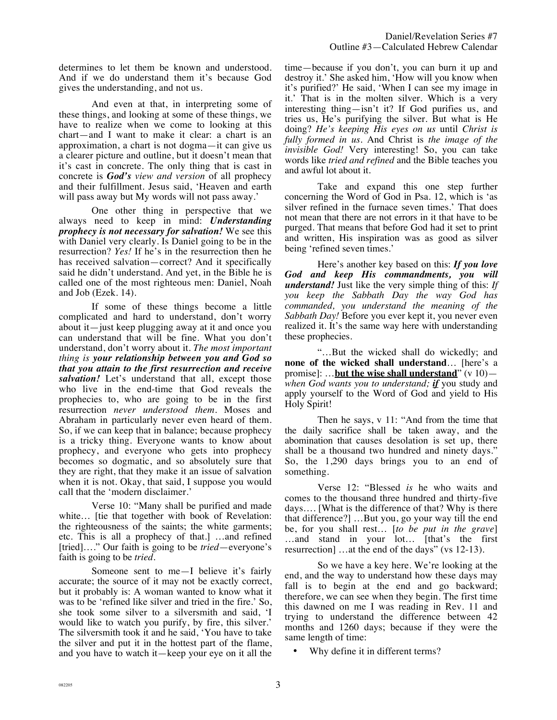determines to let them be known and understood. And if we do understand them it's because God gives the understanding, and not us.

And even at that, in interpreting some of these things, and looking at some of these things, we have to realize when we come to looking at this chart—and I want to make it clear: a chart is an approximation, a chart is not dogma—it can give us a clearer picture and outline, but it doesn't mean that it's cast in concrete. The only thing that is cast in concrete is *God's view and version* of all prophecy and their fulfillment. Jesus said, 'Heaven and earth will pass away but My words will not pass away.'

One other thing in perspective that we always need to keep in mind: *Understanding prophecy is not necessary for salvation!* We see this with Daniel very clearly. Is Daniel going to be in the resurrection? *Yes!* If he's in the resurrection then he has received salvation—correct? And it specifically said he didn't understand. And yet, in the Bible he is called one of the most righteous men: Daniel, Noah and Job (Ezek. 14).

If some of these things become a little complicated and hard to understand, don't worry about it—just keep plugging away at it and once you can understand that will be fine. What you don't understand, don't worry about it. *The most important thing is your relationship between you and God so that you attain to the first resurrection and receive salvation!* Let's understand that all, except those who live in the end-time that God reveals the prophecies to, who are going to be in the first resurrection *never understood them.* Moses and Abraham in particularly never even heard of them. So, if we can keep that in balance; because prophecy is a tricky thing. Everyone wants to know about prophecy, and everyone who gets into prophecy becomes so dogmatic, and so absolutely sure that they are right, that they make it an issue of salvation when it is not. Okay, that said, I suppose you would call that the 'modern disclaimer.'

Verse 10: "Many shall be purified and made white... [tie that together with book of Revelation: the righteousness of the saints; the white garments; etc. This is all a prophecy of that.] …and refined [tried]…." Our faith is going to be *tried*—everyone's faith is going to be *tried*.

Someone sent to me—I believe it's fairly accurate; the source of it may not be exactly correct, but it probably is: A woman wanted to know what it was to be 'refined like silver and tried in the fire.' So, she took some silver to a silversmith and said, 'I would like to watch you purify, by fire, this silver.' The silversmith took it and he said, 'You have to take the silver and put it in the hottest part of the flame, and you have to watch it—keep your eye on it all the time—because if you don't, you can burn it up and destroy it.' She asked him, 'How will you know when it's purified?' He said, 'When I can see my image in it.' That is in the molten silver. Which is a very interesting thing—isn't it? If God purifies us, and tries us, He's purifying the silver. But what is He doing? *He's keeping His eyes on us* until *Christ is fully formed in us.* And Christ is *the image of the invisible God!* Very interesting! So, you can take words like *tried and refined* and the Bible teaches you and awful lot about it.

Take and expand this one step further concerning the Word of God in Psa. 12, which is 'as silver refined in the furnace seven times.' That does not mean that there are not errors in it that have to be purged. That means that before God had it set to print and written, His inspiration was as good as silver being 'refined seven times.'

Here's another key based on this: *If you love God and keep His commandments, you will understand!* Just like the very simple thing of this: *If you keep the Sabbath Day the way God has commanded, you understand the meaning of the Sabbath Day!* Before you ever kept it, you never even realized it. It's the same way here with understanding these prophecies.

"…But the wicked shall do wickedly; and **none of the wicked shall understand**… [here's a promise]: …**but the wise shall understand**" (v 10) *when God wants you to understand; if* you study and apply yourself to the Word of God and yield to His Holy Spirit!

Then he says, v 11: "And from the time that the daily sacrifice shall be taken away, and the abomination that causes desolation is set up, there shall be a thousand two hundred and ninety days." So, the 1,290 days brings you to an end of something.

Verse 12: "Blessed *is* he who waits and comes to the thousand three hundred and thirty-five days…. [What is the difference of that? Why is there that difference?] …But you, go your way till the end be, for you shall rest… [*to be put in the grave*] …and stand in your lot… [that's the first resurrection] …at the end of the days" (vs 12-13).

So we have a key here. We're looking at the end, and the way to understand how these days may fall is to begin at the end and go backward; therefore, we can see when they begin. The first time this dawned on me I was reading in Rev. 11 and trying to understand the difference between 42 months and 1260 days; because if they were the same length of time:

Why define it in different terms?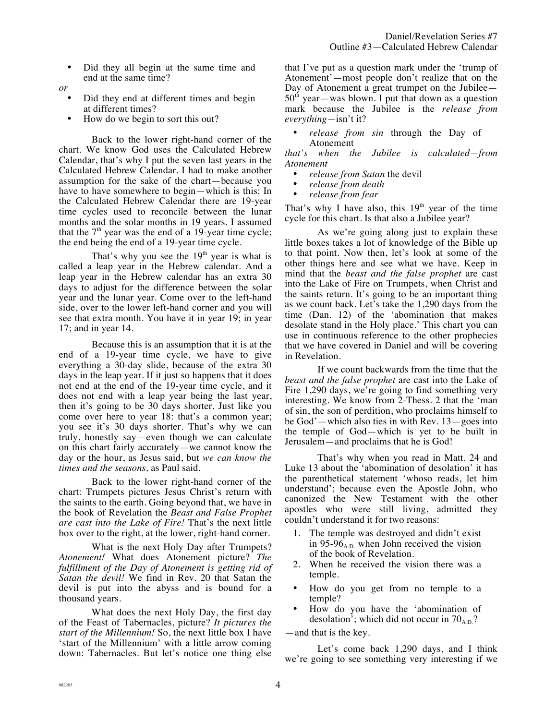• Did they all begin at the same time and end at the same time?

*or* 

- Did they end at different times and begin at different times?
- How do we begin to sort this out?

Back to the lower right-hand corner of the chart. We know God uses the Calculated Hebrew Calendar, that's why I put the seven last years in the Calculated Hebrew Calendar. I had to make another assumption for the sake of the chart—because you have to have somewhere to begin—which is this: In the Calculated Hebrew Calendar there are 19-year time cycles used to reconcile between the lunar months and the solar months in 19 years. I assumed that the  $7<sup>th</sup>$  year was the end of a 19-year time cycle; the end being the end of a 19-year time cycle.

That's why you see the  $19<sup>th</sup>$  year is what is called a leap year in the Hebrew calendar. And a leap year in the Hebrew calendar has an extra 30 days to adjust for the difference between the solar year and the lunar year. Come over to the left-hand side, over to the lower left-hand corner and you will see that extra month. You have it in year 19; in year 17; and in year 14.

Because this is an assumption that it is at the end of a 19-year time cycle, we have to give everything a 30-day slide, because of the extra 30 days in the leap year. If it just so happens that it does not end at the end of the 19-year time cycle, and it does not end with a leap year being the last year, then it's going to be 30 days shorter. Just like you come over here to year 18: that's a common year; you see it's 30 days shorter. That's why we can truly, honestly say—even though we can calculate on this chart fairly accurately—we cannot know the day or the hour, as Jesus said, but *we can know the times and the seasons,* as Paul said.

Back to the lower right-hand corner of the chart: Trumpets pictures Jesus Christ's return with the saints to the earth. Going beyond that, we have in the book of Revelation the *Beast and False Prophet are cast into the Lake of Fire!* That's the next little box over to the right, at the lower, right-hand corner.

What is the next Holy Day after Trumpets? *Atonement!* What does Atonement picture? *The fulfillment of the Day of Atonement is getting rid of Satan the devil!* We find in Rev. 20 that Satan the devil is put into the abyss and is bound for a thousand years.

What does the next Holy Day, the first day of the Feast of Tabernacles, picture? *It pictures the start of the Millennium!* So, the next little box I have 'start of the Millennium' with a little arrow coming down: Tabernacles. But let's notice one thing else that I've put as a question mark under the 'trump of Atonement'—most people don't realize that on the Day of Atonement a great trumpet on the Jubilee—  $50<sup>th</sup>$  year—was blown. I put that down as a question mark because the Jubilee is the *release from everything—*isn't it?

• *release from sin* through the Day of Atonement

*that's when the Jubilee is calculated—from Atonement* 

- *release from Satan the devil*<br>• *release from death*
- *release from death*
- *release from fear*

That's why I have also, this  $19<sup>th</sup>$  year of the time cycle for this chart. Is that also a Jubilee year?

As we're going along just to explain these little boxes takes a lot of knowledge of the Bible up to that point. Now then, let's look at some of the other things here and see what we have. Keep in mind that the *beast and the false prophet* are cast into the Lake of Fire on Trumpets, when Christ and the saints return. It's going to be an important thing as we count back. Let's take the 1,290 days from the time (Dan. 12) of the 'abomination that makes desolate stand in the Holy place.' This chart you can use in continuous reference to the other prophecies that we have covered in Daniel and will be covering in Revelation.

If we count backwards from the time that the *beast and the false prophet* are cast into the Lake of Fire 1,290 days, we're going to find something very interesting. We know from 2-Thess. 2 that the 'man of sin, the son of perdition, who proclaims himself to be God'—which also ties in with Rev. 13—goes into the temple of God—which is yet to be built in Jerusalem—and proclaims that he is God!

That's why when you read in Matt. 24 and Luke 13 about the 'abomination of desolation' it has the parenthetical statement 'whoso reads, let him understand'; because even the Apostle John, who canonized the New Testament with the other apostles who were still living, admitted they couldn't understand it for two reasons:

- 1. The temple was destroyed and didn't exist in 95-96 $_{AD}$  when John received the vision of the book of Revelation.
- 2. When he received the vision there was a temple.
- How do you get from no temple to a temple?
- How do you have the 'abomination of desolation'; which did not occur in  $70<sub>A.D.</sub>$ ?

—and that is the key.

Let's come back 1,290 days, and I think we're going to see something very interesting if we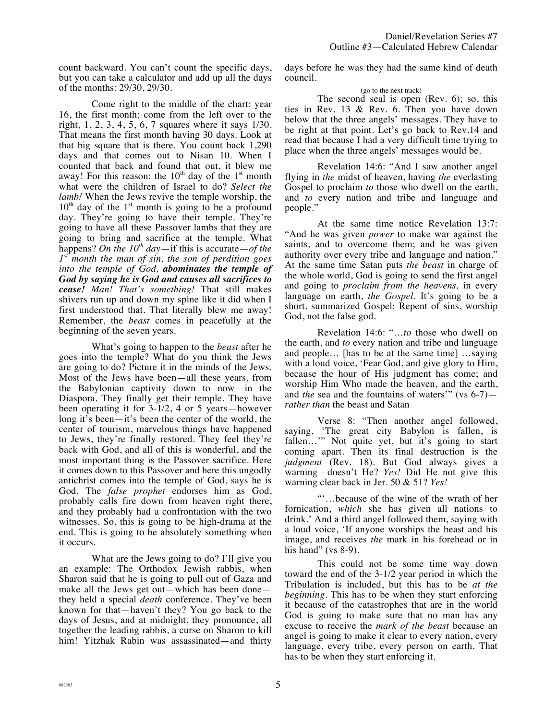count backward. You can't count the specific days, but you can take a calculator and add up all the days of the months: 29/30, 29/30.

Come right to the middle of the chart: year 16, the first month; come from the left over to the right, 1, 2, 3, 4, 5, 6, 7 squares where it says 1/30. That means the first month having 30 days. Look at that big square that is there. You count back 1,290 days and that comes out to Nisan 10. When I counted that back and found that out, it blew me away! For this reason: the  $10<sup>th</sup>$  day of the  $1<sup>st</sup>$  month what were the children of Israel to do? *Select the lamb!* When the Jews revive the temple worship, the  $10<sup>th</sup>$  day of the 1<sup>st</sup> month is going to be a profound day. They're going to have their temple. They're going to have all these Passover lambs that they are going to bring and sacrifice at the temple. What happens? On the  $10^{th}$  day—if this is accurate—of the *1st month the man of sin, the son of perdition goes into the temple of God, abominates the temple of God by saying he is God and causes all sacrifices to cease! Man! That's something!* That still makes shivers run up and down my spine like it did when I first understood that. That literally blew me away! Remember, the *beast* comes in peacefully at the beginning of the seven years.

What's going to happen to the *beast* after he goes into the temple? What do you think the Jews are going to do? Picture it in the minds of the Jews. Most of the Jews have been—all these years, from the Babylonian captivity down to now—in the Diaspora. They finally get their temple. They have been operating it for 3-1/2, 4 or 5 years—however long it's been—it's been the center of the world, the center of tourism, marvelous things have happened to Jews, they're finally restored. They feel they're back with God, and all of this is wonderful, and the most important thing is the Passover sacrifice. Here it comes down to this Passover and here this ungodly antichrist comes into the temple of God, says he is God. The *false prophet* endorses him as God, probably calls fire down from heaven right there, and they probably had a confrontation with the two witnesses. So, this is going to be high-drama at the end. This is going to be absolutely something when it occurs.

What are the Jews going to do? I'll give you an example: The Orthodox Jewish rabbis, when Sharon said that he is going to pull out of Gaza and make all the Jews get out—which has been done they held a special *death* conference. They've been known for that—haven't they? You go back to the days of Jesus, and at midnight, they pronounce, all together the leading rabbis, a curse on Sharon to kill him! Yitzhak Rabin was assassinated—and thirty

days before he was they had the same kind of death council.

## (go to the next track)

The second seal is open (Rev. 6); so, this ties in Rev. 13 & Rev. 6. Then you have down below that the three angels' messages. They have to be right at that point. Let's go back to Rev.14 and read that because I had a very difficult time trying to place when the three angels' messages would be.

Revelation 14:6: "And I saw another angel flying in *the* midst of heaven, having *the* everlasting Gospel to proclaim *to* those who dwell on the earth, and *to* every nation and tribe and language and people."

At the same time notice Revelation 13:7: "And he was given *power* to make war against the saints, and to overcome them; and he was given authority over every tribe and language and nation." At the same time Satan puts *the beast* in charge of the whole world, God is going to send the first angel and going to *proclaim from the heavens,* in every language on earth, *the Gospel.* It's going to be a short, summarized Gospel: Repent of sins, worship God, not the false god.

Revelation 14:6: "…*to* those who dwell on the earth, and *to* every nation and tribe and language and people… [has to be at the same time] …saying with a loud voice, 'Fear God, and give glory to Him, because the hour of His judgment has come; and worship Him Who made the heaven, and the earth, and *the* sea and the fountains of waters'" (vs 6-7) *rather than* the beast and Satan

Verse 8: "Then another angel followed, saying, 'The great city Babylon is fallen, is fallen…'" Not quite yet, but it's going to start coming apart. Then its final destruction is the *judgment* (Rev. 18). But God always gives a warning—doesn't He? *Yes!* Did He not give this warning clear back in Jer. 50 & 51? *Yes!*

"'…because of the wine of the wrath of her fornication, *which* she has given all nations to drink.' And a third angel followed them, saying with a loud voice, 'If anyone worships the beast and his image, and receives *the* mark in his forehead or in his hand" (vs  $8-9$ ).

This could not be some time way down toward the end of the 3-1/2 year period in which the Tribulation is included, but this has to be *at the beginning.* This has to be when they start enforcing it because of the catastrophes that are in the world God is going to make sure that no man has any excuse to receive the *mark of the beast* because an angel is going to make it clear to every nation, every language, every tribe, every person on earth. That has to be when they start enforcing it.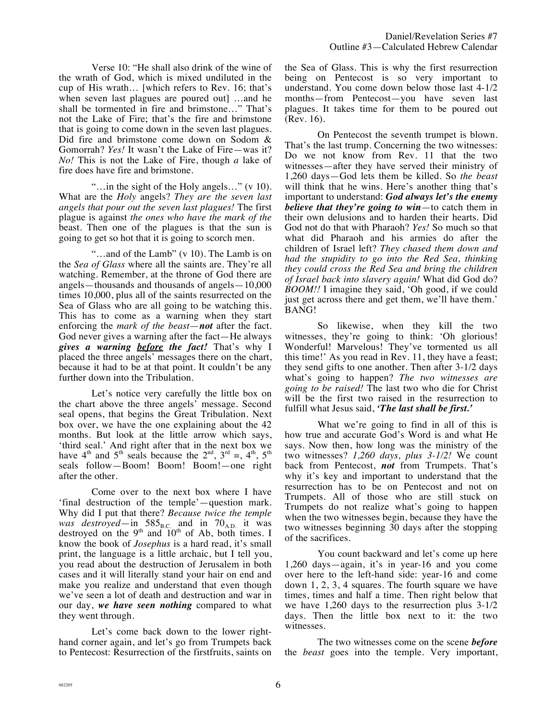Verse 10: "He shall also drink of the wine of the wrath of God, which is mixed undiluted in the cup of His wrath… [which refers to Rev. 16; that's when seven last plagues are poured out] …and he shall be tormented in fire and brimstone…" That's not the Lake of Fire; that's the fire and brimstone that is going to come down in the seven last plagues. Did fire and brimstone come down on Sodom & Gomorrah? *Yes!* It wasn't the Lake of Fire—was it? *No!* This is not the Lake of Fire, though *a* lake of fire does have fire and brimstone.

"…in the sight of the Holy angels…" (v 10). What are the *Holy* angels? *They are the seven last angels that pour out the seven last plagues!* The first plague is against *the ones who have the mark of the*  beast. Then one of the plagues is that the sun is going to get so hot that it is going to scorch men.

"…and of the Lamb" (v 10). The Lamb is on the *Sea of Glass* where all the saints are. They're all watching. Remember, at the throne of God there are angels—thousands and thousands of angels—10,000 times 10,000, plus all of the saints resurrected on the Sea of Glass who are all going to be watching this. This has to come as a warning when they start enforcing the *mark of the beast*—*not* after the fact. God never gives a warning after the fact—He always *gives a warning before the fact!* That's why I placed the three angels' messages there on the chart, because it had to be at that point. It couldn't be any further down into the Tribulation.

Let's notice very carefully the little box on the chart above the three angels' message. Second seal opens, that begins the Great Tribulation. Next box over, we have the one explaining about the 42 months. But look at the little arrow which says, 'third seal.' And right after that in the next box we have  $4<sup>th</sup>$  and  $5<sup>th</sup>$  seals because the  $2<sup>nd</sup>$ ,  $3<sup>rd</sup> =$ ,  $4<sup>th</sup>$ ,  $5<sup>th</sup>$ seals follow—Boom! Boom! Boom!—one right after the other.

Come over to the next box where I have 'final destruction of the temple'—question mark. Why did I put that there? *Because twice the temple was destroyed*—in  $585<sub>B.C.</sub>$  and in  $70<sub>A.D.</sub>$  it was destroyed on the  $9<sup>th</sup>$  and  $10<sup>th</sup>$  of Ab, both times. I know the book of *Josephus* is a hard read, it's small print, the language is a little archaic, but I tell you, you read about the destruction of Jerusalem in both cases and it will literally stand your hair on end and make you realize and understand that even though we've seen a lot of death and destruction and war in our day, *we have seen nothing* compared to what they went through.

Let's come back down to the lower righthand corner again, and let's go from Trumpets back to Pentecost: Resurrection of the firstfruits, saints on the Sea of Glass. This is why the first resurrection being on Pentecost is so very important to understand. You come down below those last 4-1/2 months—from Pentecost—you have seven last plagues. It takes time for them to be poured out (Rev. 16).

On Pentecost the seventh trumpet is blown. That's the last trump. Concerning the two witnesses: Do we not know from Rev. 11 that the two witnesses—after they have served their ministry of 1,260 days—God lets them be killed. So *the beast* will think that he wins. Here's another thing that's important to understand: *God always let's the enemy believe that they're going to win*—to catch them in their own delusions and to harden their hearts. Did God not do that with Pharaoh? *Yes!* So much so that what did Pharaoh and his armies do after the children of Israel left? *They chased them down and had the stupidity to go into the Red Sea, thinking they could cross the Red Sea and bring the children of Israel back into slavery again!* What did God do? *BOOM!!* I imagine they said, 'Oh good, if we could just get across there and get them, we'll have them.' BANG!

So likewise, when they kill the two witnesses, they're going to think: 'Oh glorious! Wonderful! Marvelous! They've tormented us all this time!' As you read in Rev. 11, they have a feast; they send gifts to one another. Then after 3-1/2 days what's going to happen? *The two witnesses are going to be raised!* The last two who die for Christ will be the first two raised in the resurrection to fulfill what Jesus said, *'The last shall be first.'*

What we're going to find in all of this is how true and accurate God's Word is and what He says. Now then, how long was the ministry of the two witnesses? *1,260 days, plus 3-1/2!* We count back from Pentecost, *not* from Trumpets. That's why it's key and important to understand that the resurrection has to be on Pentecost and not on Trumpets. All of those who are still stuck on Trumpets do not realize what's going to happen when the two witnesses begin, because they have the two witnesses beginning 30 days after the stopping of the sacrifices.

You count backward and let's come up here 1,260 days—again, it's in year-16 and you come over here to the left-hand side: year-16 and come down 1, 2, 3, 4 squares. The fourth square we have times, times and half a time. Then right below that we have 1,260 days to the resurrection plus 3-1/2 days. Then the little box next to it: the two witnesses.

The two witnesses come on the scene *before* the *beast* goes into the temple. Very important,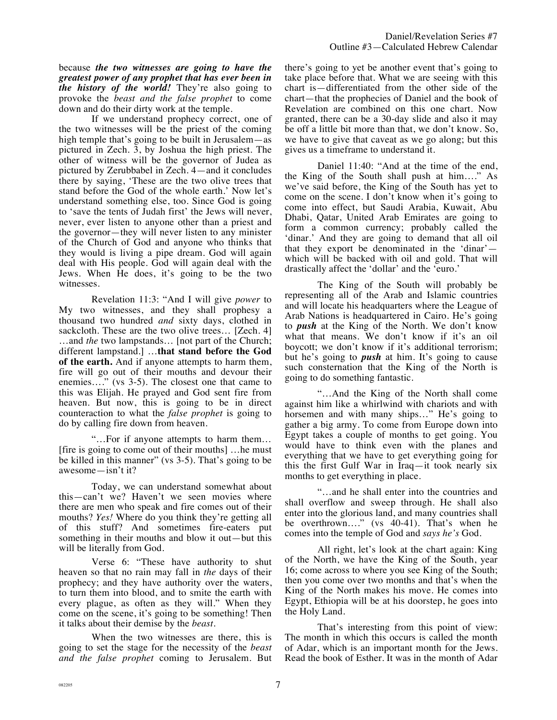because *the two witnesses are going to have the greatest power of any prophet that has ever been in the history of the world!* They're also going to provoke the *beast and the false prophet* to come down and do their dirty work at the temple.

If we understand prophecy correct, one of the two witnesses will be the priest of the coming high temple that's going to be built in Jerusalem—as pictured in Zech. 3, by Joshua the high priest. The other of witness will be the governor of Judea as pictured by Zerubbabel in Zech. 4—and it concludes there by saying, 'These are the two olive trees that stand before the God of the whole earth.' Now let's understand something else, too. Since God is going to 'save the tents of Judah first' the Jews will never, never, ever listen to anyone other than a priest and the governor—they will never listen to any minister of the Church of God and anyone who thinks that they would is living a pipe dream. God will again deal with His people. God will again deal with the Jews. When He does, it's going to be the two witnesses.

Revelation 11:3: "And I will give *power* to My two witnesses, and they shall prophesy a thousand two hundred *and* sixty days, clothed in sackcloth. These are the two olive trees… [Zech. 4] …and *the* two lampstands… [not part of the Church; different lampstand.] …**that stand before the God of the earth.** And if anyone attempts to harm them, fire will go out of their mouths and devour their enemies…." (vs 3-5). The closest one that came to this was Elijah. He prayed and God sent fire from heaven. But now, this is going to be in direct counteraction to what the *false prophet* is going to do by calling fire down from heaven.

"…For if anyone attempts to harm them… [fire is going to come out of their mouths] …he must be killed in this manner" (vs 3-5). That's going to be awesome—isn't it?

Today, we can understand somewhat about this—can't we? Haven't we seen movies where there are men who speak and fire comes out of their mouths? *Yes!* Where do you think they're getting all of this stuff? And sometimes fire-eaters put something in their mouths and blow it out—but this will be literally from God.

Verse 6: "These have authority to shut heaven so that no rain may fall in *the* days of their prophecy; and they have authority over the waters, to turn them into blood, and to smite the earth with every plague, as often as they will." When they come on the scene, it's going to be something! Then it talks about their demise by the *beast*.

When the two witnesses are there, this is going to set the stage for the necessity of the *beast and the false prophet* coming to Jerusalem. But there's going to yet be another event that's going to take place before that. What we are seeing with this chart is—differentiated from the other side of the chart—that the prophecies of Daniel and the book of Revelation are combined on this one chart. Now granted, there can be a 30-day slide and also it may be off a little bit more than that, we don't know. So, we have to give that caveat as we go along; but this gives us a timeframe to understand it.

Daniel 11:40: "And at the time of the end, the King of the South shall push at him…." As we've said before, the King of the South has yet to come on the scene. I don't know when it's going to come into effect, but Saudi Arabia, Kuwait, Abu Dhabi, Qatar, United Arab Emirates are going to form a common currency; probably called the 'dinar.' And they are going to demand that all oil that they export be denominated in the 'dinar' which will be backed with oil and gold. That will drastically affect the 'dollar' and the 'euro.'

The King of the South will probably be representing all of the Arab and Islamic countries and will locate his headquarters where the League of Arab Nations is headquartered in Cairo. He's going to *push* at the King of the North. We don't know what that means. We don't know if it's an oil boycott; we don't know if it's additional terrorism; but he's going to *push* at him. It's going to cause such consternation that the King of the North is going to do something fantastic.

"…And the King of the North shall come against him like a whirlwind with chariots and with horsemen and with many ships..." He's going to gather a big army. To come from Europe down into Egypt takes a couple of months to get going. You would have to think even with the planes and everything that we have to get everything going for this the first Gulf War in Iraq—it took nearly six months to get everything in place.

"…and he shall enter into the countries and shall overflow and sweep through. He shall also enter into the glorious land, and many countries shall be overthrown…." (vs 40-41). That's when he comes into the temple of God and *says he's* God.

All right, let's look at the chart again: King of the North, we have the King of the South, year 16; come across to where you see King of the South; then you come over two months and that's when the King of the North makes his move. He comes into Egypt, Ethiopia will be at his doorstep, he goes into the Holy Land.

That's interesting from this point of view: The month in which this occurs is called the month of Adar, which is an important month for the Jews. Read the book of Esther. It was in the month of Adar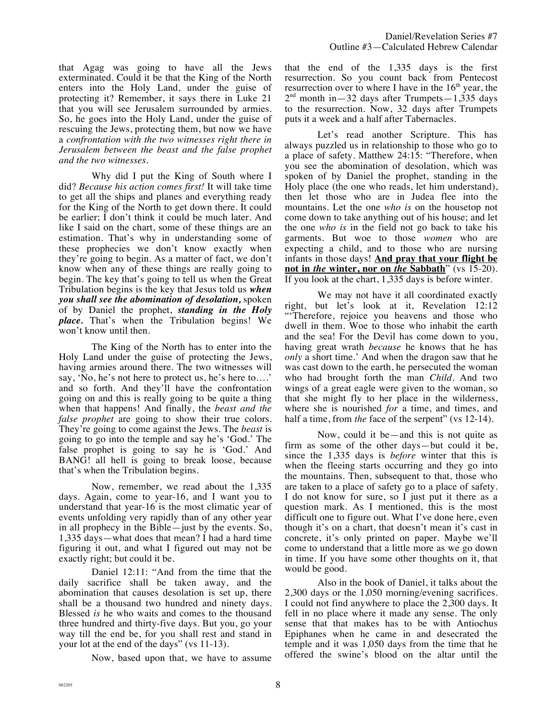that Agag was going to have all the Jews exterminated. Could it be that the King of the North enters into the Holy Land, under the guise of protecting it? Remember, it says there in Luke 21 that you will see Jerusalem surrounded by armies. So, he goes into the Holy Land, under the guise of rescuing the Jews, protecting them, but now we have a *confrontation with the two witnesses right there in Jerusalem between the beast and the false prophet and the two witnesses.* 

Why did I put the King of South where I did? *Because his action comes first!* It will take time to get all the ships and planes and everything ready for the King of the North to get down there. It could be earlier; I don't think it could be much later. And like I said on the chart, some of these things are an estimation. That's why in understanding some of these prophecies we don't know exactly when they're going to begin. As a matter of fact, we don't know when any of these things are really going to begin. The key that's going to tell us when the Great Tribulation begins is the key that Jesus told us *when you shall see the abomination of desolation,* spoken of by Daniel the prophet, *standing in the Holy place.* That's when the Tribulation begins! We won't know until then.

The King of the North has to enter into the Holy Land under the guise of protecting the Jews, having armies around there. The two witnesses will say, 'No, he's not here to protect us, he's here to….' and so forth. And they'll have the confrontation going on and this is really going to be quite a thing when that happens! And finally, the *beast and the false prophet* are going to show their true colors. They're going to come against the Jews. The *beast* is going to go into the temple and say he's 'God.' The false prophet is going to say he is 'God.' And BANG! all hell is going to break loose, because that's when the Tribulation begins.

Now, remember, we read about the 1,335 days. Again, come to year-16, and I want you to understand that year-16 is the most climatic year of events unfolding very rapidly than of any other year in all prophecy in the Bible—just by the events. So, 1,335 days—what does that mean? I had a hard time figuring it out, and what I figured out may not be exactly right; but could it be.

Daniel 12:11: "And from the time that the daily sacrifice shall be taken away, and the abomination that causes desolation is set up, there shall be a thousand two hundred and ninety days. Blessed *is* he who waits and comes to the thousand three hundred and thirty-five days. But you, go your way till the end be, for you shall rest and stand in your lot at the end of the days" (vs 11-13).

Now, based upon that, we have to assume

that the end of the 1,335 days is the first resurrection. So you count back from Pentecost resurrection over to where I have in the  $16<sup>th</sup>$  year, the  $2<sup>nd</sup>$  month in  $-32$  days after Trumpets  $-1,335$  days to the resurrection. Now, 32 days after Trumpets puts it a week and a half after Tabernacles.

Let's read another Scripture. This has always puzzled us in relationship to those who go to a place of safety. Matthew 24:15: "Therefore, when you see the abomination of desolation, which was spoken of by Daniel the prophet, standing in the Holy place (the one who reads, let him understand), then let those who are in Judea flee into the mountains. Let the one *who is* on the housetop not come down to take anything out of his house; and let the one *who is* in the field not go back to take his garments. But woe to those *women* who are expecting a child, and to those who are nursing infants in those days! **And pray that your flight be not in** *the* **winter, nor on** *the* **Sabbath**" (vs 15-20). If you look at the chart, 1,335 days is before winter.

We may not have it all coordinated exactly right, but let's look at it, Revelation 12:12 "Therefore, rejoice you heavens and those who dwell in them. Woe to those who inhabit the earth and the sea! For the Devil has come down to you, having great wrath *because* he knows that he has *only* a short time.' And when the dragon saw that he was cast down to the earth, he persecuted the woman who had brought forth the man *Child*. And two wings of a great eagle were given to the woman, so that she might fly to her place in the wilderness, where she is nourished *for* a time, and times, and half a time, from *the* face of the serpent" (vs 12-14).

Now, could it be—and this is not quite as firm as some of the other days—but could it be, since the 1,335 days is *before* winter that this is when the fleeing starts occurring and they go into the mountains. Then, subsequent to that, those who are taken to a place of safety go to a place of safety. I do not know for sure, so I just put it there as a question mark. As I mentioned, this is the most difficult one to figure out. What I've done here, even though it's on a chart, that doesn't mean it's cast in concrete, it's only printed on paper. Maybe we'll come to understand that a little more as we go down in time. If you have some other thoughts on it, that would be good.

Also in the book of Daniel, it talks about the 2,300 days or the 1,050 morning/evening sacrifices. I could not find anywhere to place the 2,300 days. It fell in no place where it made any sense. The only sense that that makes has to be with Antiochus Epiphanes when he came in and desecrated the temple and it was 1,050 days from the time that he offered the swine's blood on the altar until the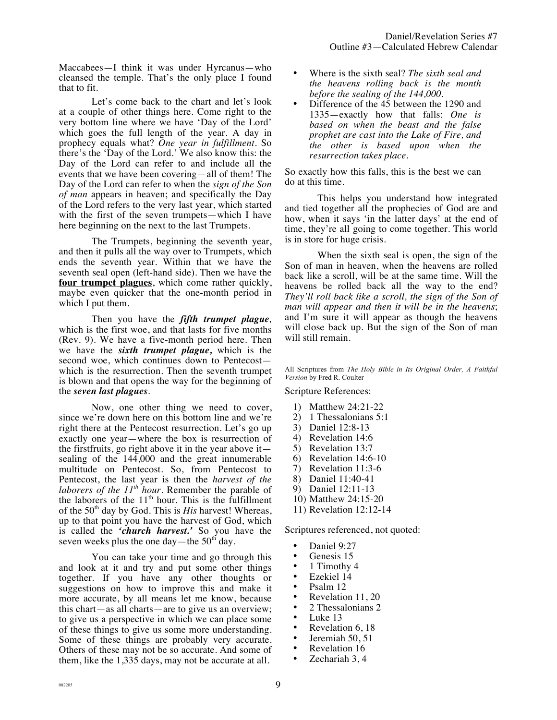Maccabees—I think it was under Hyrcanus—who cleansed the temple. That's the only place I found that to fit.

Let's come back to the chart and let's look at a couple of other things here. Come right to the very bottom line where we have 'Day of the Lord' which goes the full length of the year. A day in prophecy equals what? *One year in fulfillment.* So there's the 'Day of the Lord.' We also know this: the Day of the Lord can refer to and include all the events that we have been covering—all of them! The Day of the Lord can refer to when the *sign of the Son of man* appears in heaven; and specifically the Day of the Lord refers to the very last year, which started with the first of the seven trumpets—which I have here beginning on the next to the last Trumpets.

The Trumpets, beginning the seventh year, and then it pulls all the way over to Trumpets, which ends the seventh year. Within that we have the seventh seal open (left-hand side). Then we have the **four trumpet plagues**, which come rather quickly, maybe even quicker that the one-month period in which I put them.

Then you have the *fifth trumpet plague,* which is the first woe, and that lasts for five months (Rev. 9). We have a five-month period here. Then we have the *sixth trumpet plague,* which is the second woe, which continues down to Pentecost which is the resurrection. Then the seventh trumpet is blown and that opens the way for the beginning of the *seven last plagues.*

Now, one other thing we need to cover, since we're down here on this bottom line and we're right there at the Pentecost resurrection. Let's go up exactly one year—where the box is resurrection of the firstfruits, go right above it in the year above it sealing of the 144,000 and the great innumerable multitude on Pentecost. So, from Pentecost to Pentecost, the last year is then the *harvest of the laborers of the 11th hour.* Remember the parable of the laborers of the  $11<sup>th</sup>$  hour. This is the fulfillment of the  $50<sup>th</sup>$  day by God. This is *His* harvest! Whereas, up to that point you have the harvest of God, which is called the *'church harvest.'* So you have the seven weeks plus the one day—the  $50<sup>th</sup>$  day.

You can take your time and go through this and look at it and try and put some other things together. If you have any other thoughts or suggestions on how to improve this and make it more accurate, by all means let me know, because this chart—as all charts—are to give us an overview; to give us a perspective in which we can place some of these things to give us some more understanding. Some of these things are probably very accurate. Others of these may not be so accurate. And some of them, like the 1,335 days, may not be accurate at all.

- Where is the sixth seal? *The sixth seal and the heavens rolling back is the month before the sealing of the 144,000.*
- Difference of the 45 between the 1290 and 1335—exactly how that falls: *One is based on when the beast and the false prophet are cast into the Lake of Fire, and the other is based upon when the resurrection takes place.*

So exactly how this falls, this is the best we can do at this time.

This helps you understand how integrated and tied together all the prophecies of God are and how, when it says 'in the latter days' at the end of time, they're all going to come together. This world is in store for huge crisis.

When the sixth seal is open, the sign of the Son of man in heaven, when the heavens are rolled back like a scroll, will be at the same time. Will the heavens be rolled back all the way to the end? *They'll roll back like a scroll, the sign of the Son of man will appear and then it will be in the heavens*; and I'm sure it will appear as though the heavens will close back up. But the sign of the Son of man will still remain.

All Scriptures from *The Holy Bible in Its Original Order, A Faithful Version* by Fred R. Coulter

Scripture References:

- 1) Matthew 24:21-22
- 2) 1 Thessalonians 5:1
- 3) Daniel 12:8-13
- 4) Revelation 14:6
- 5) Revelation 13:7
- 6) Revelation 14:6-10
- 7) Revelation 11:3-6
- 8) Daniel 11:40-41
- 9) Daniel 12:11-13
- 10) Matthew 24:15-20
- 11) Revelation 12:12-14

Scriptures referenced, not quoted:

- Daniel 9:27
- Genesis 15
- 
- 1 Timothy 4<br>• Ezekiel 14 • Ezekiel 14
- Psalm 12
- Revelation 11, 20
- 2 Thessalonians 2
- Luke 13
- Revelation 6, 18
- Jeremiah 50, 51
- Revelation 16
- Zechariah 3, 4